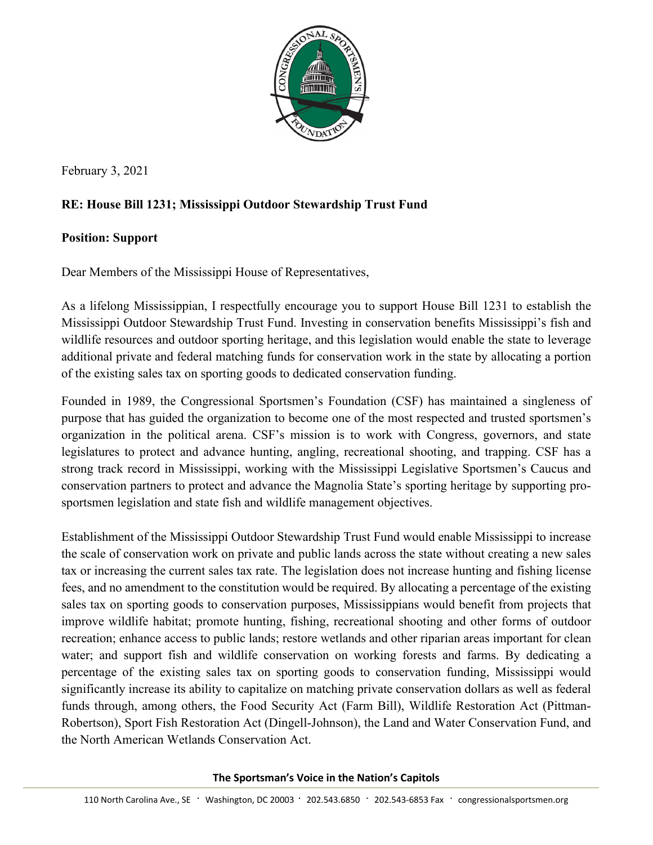

February 3, 2021

## **RE: House Bill 1231; Mississippi Outdoor Stewardship Trust Fund**

## **Position: Support**

Dear Members of the Mississippi House of Representatives,

As a lifelong Mississippian, I respectfully encourage you to support House Bill 1231 to establish the Mississippi Outdoor Stewardship Trust Fund. Investing in conservation benefits Mississippi's fish and wildlife resources and outdoor sporting heritage, and this legislation would enable the state to leverage additional private and federal matching funds for conservation work in the state by allocating a portion of the existing sales tax on sporting goods to dedicated conservation funding.

Founded in 1989, the Congressional Sportsmen's Foundation (CSF) has maintained a singleness of purpose that has guided the organization to become one of the most respected and trusted sportsmen's organization in the political arena. CSF's mission is to work with Congress, governors, and state legislatures to protect and advance hunting, angling, recreational shooting, and trapping. CSF has a strong track record in Mississippi, working with the Mississippi Legislative Sportsmen's Caucus and conservation partners to protect and advance the Magnolia State's sporting heritage by supporting prosportsmen legislation and state fish and wildlife management objectives.

Establishment of the Mississippi Outdoor Stewardship Trust Fund would enable Mississippi to increase the scale of conservation work on private and public lands across the state without creating a new sales tax or increasing the current sales tax rate. The legislation does not increase hunting and fishing license fees, and no amendment to the constitution would be required. By allocating a percentage of the existing sales tax on sporting goods to conservation purposes, Mississippians would benefit from projects that improve wildlife habitat; promote hunting, fishing, recreational shooting and other forms of outdoor recreation; enhance access to public lands; restore wetlands and other riparian areas important for clean water; and support fish and wildlife conservation on working forests and farms. By dedicating a percentage of the existing sales tax on sporting goods to conservation funding, Mississippi would significantly increase its ability to capitalize on matching private conservation dollars as well as federal funds through, among others, the Food Security Act (Farm Bill), Wildlife Restoration Act (Pittman-Robertson), Sport Fish Restoration Act (Dingell-Johnson), the Land and Water Conservation Fund, and the North American Wetlands Conservation Act.

**The Sportsman's Voice in the Nation's Capitols**